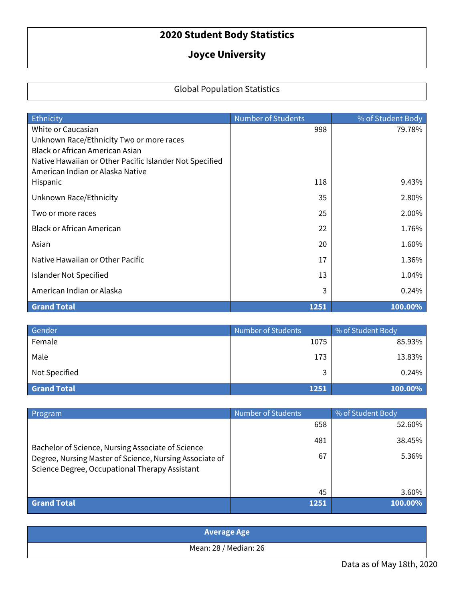## **2020 Student Body Statistics**

## **Joyce University**

## Global Population Statistics

| Ethnicity                                                                                   | <b>Number of Students</b> | % of Student Body |
|---------------------------------------------------------------------------------------------|---------------------------|-------------------|
| White or Caucasian                                                                          | 998                       | 79.78%            |
| Unknown Race/Ethnicity Two or more races                                                    |                           |                   |
| <b>Black or African American Asian</b>                                                      |                           |                   |
| Native Hawaiian or Other Pacific Islander Not Specified<br>American Indian or Alaska Native |                           |                   |
| Hispanic                                                                                    | 118                       | 9.43%             |
|                                                                                             |                           |                   |
| Unknown Race/Ethnicity                                                                      | 35                        | 2.80%             |
| Two or more races                                                                           | 25                        | 2.00%             |
| Black or African American                                                                   | 22                        | 1.76%             |
| Asian                                                                                       | 20                        | 1.60%             |
| Native Hawaiian or Other Pacific                                                            | 17                        | 1.36%             |
| Islander Not Specified                                                                      | 13                        | 1.04%             |
| American Indian or Alaska                                                                   | 3                         | 0.24%             |
| <b>Grand Total</b>                                                                          | 1251                      | 100.00%           |

| Gender             | Number of Students | % of Student Body |
|--------------------|--------------------|-------------------|
| Female             | 1075               | 85.93%            |
| Male               | 173                | 13.83%            |
| Not Specified      |                    | 0.24%             |
| <b>Grand Total</b> | 1251               | 100.00%           |

| <b>Program</b>                                                                                                                                                 | <b>Number of Students</b> | % of Student Body |
|----------------------------------------------------------------------------------------------------------------------------------------------------------------|---------------------------|-------------------|
| Bachelor of Science, Nursing Associate of Science<br>Degree, Nursing Master of Science, Nursing Associate of<br>Science Degree, Occupational Therapy Assistant | 658                       | 52.60%            |
|                                                                                                                                                                | 481                       | 38.45%            |
|                                                                                                                                                                | 67                        | 5.36%             |
|                                                                                                                                                                | 45                        | 3.60%             |
| <b>Grand Total</b>                                                                                                                                             | 1251                      | 100.00%           |

| <b>Average Age</b>    |  |  |  |
|-----------------------|--|--|--|
| Mean: 28 / Median: 26 |  |  |  |